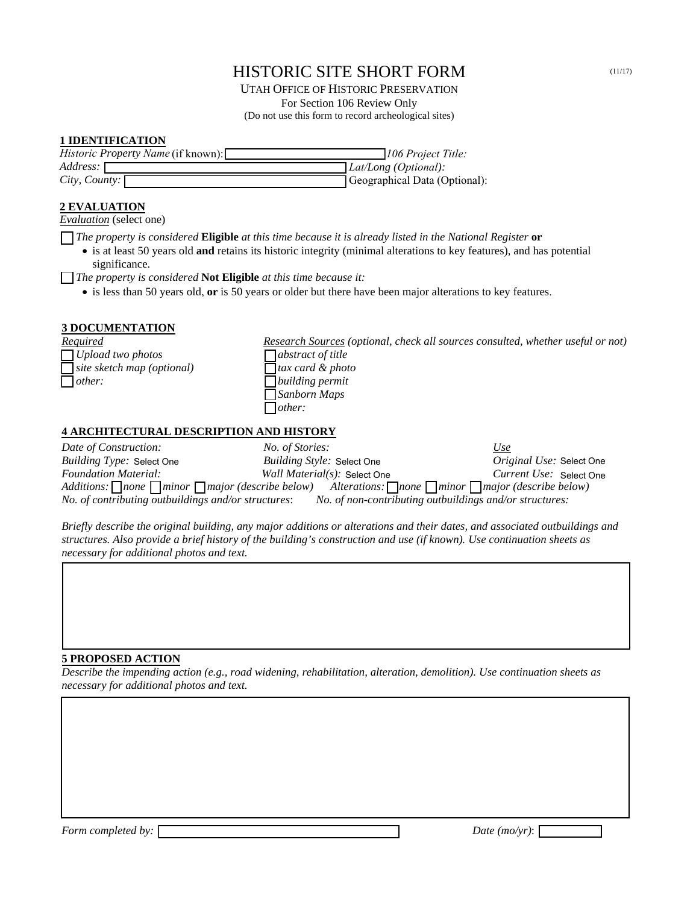# HISTORIC SITE SHORT FORM (11/17)

UTAH OFFICE OF HISTORIC PRESERVATION For Section 106 Review Only (Do not use this form to record archeological sites)

### **1 IDENTIFICATION**

| <i>Historic Property Name</i> (if known): | 106 Project Title:            |
|-------------------------------------------|-------------------------------|
| Address: I                                | $Lat/Long$ (Optional):        |
| $City, Count$ .                           | Geographical Data (Optional): |

## **2 EVALUATION**

*Evaluation* (select one)

*The property is considered* **Eligible** *at this time because it is already listed in the National Register* **or**

• is at least 50 years old **and** retains its historic integrity (minimal alterations to key features), and has potential significance.

*The property is considered* **Not Eligible** *at this time because it:*

• is less than 50 years old, **or** is 50 years or older but there have been major alterations to key features.

## **3 DOCUMENTATION**

*Required Research Sources (optional, check all sources consulted, whether useful or not) Upload two photos abstract of title site sketch map (optional) tax card & photo other: building permit Sanborn Maps other:*

#### **4 ARCHITECTURAL DESCRIPTION AND HISTORY**

| Date of Construction:                                                                                                          | <i>No. of Stories:</i>                                  | Use                             |  |
|--------------------------------------------------------------------------------------------------------------------------------|---------------------------------------------------------|---------------------------------|--|
| <i>Building Type:</i> Select One                                                                                               | Building Style: Select One                              | <i>Original Use:</i> Select One |  |
| <b>Foundation Material:</b>                                                                                                    | Wall Material(s): Select One                            | Current Use: Select One         |  |
| Additions: none $\Box$ minor $\Box$ major (describe below) Alterations: $\Box$ none $\Box$ minor $\Box$ major (describe below) |                                                         |                                 |  |
| No. of contributing outbuildings and/or structures:                                                                            | No. of non-contributing outbuildings and/or structures: |                                 |  |

*Briefly describe the original building, any major additions or alterations and their dates, and associated outbuildings and structures. Also provide a brief history of the building's construction and use (if known). Use continuation sheets as necessary for additional photos and text.*

#### **5 PROPOSED ACTION**

*Describe the impending action (e.g., road widening, rehabilitation, alteration, demolition). Use continuation sheets as necessary for additional photos and text.*

*Form completed by: Date (mo/yr)*: